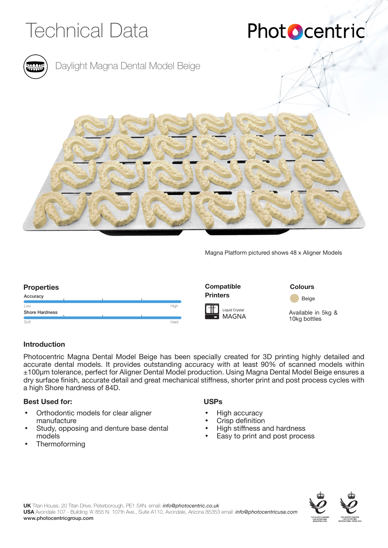

## Phot **O**centric



### Daylight Magna Dental Model Beige



Magna Platform pictured shows 48 x Aligner Models

#### **Properties Colours Colours Colours Colours Colours Colours** MAGNA Liquid Crystal **Compatible Printers** Available in 5kg & 10kg bottles Low **Soft** Accuracy Shore Hardness High Hard **Beige**

### **Introduction**

Photocentric Magna Dental Model Beige has been specially created for 3D printing highly detailed and accurate dental models. It provides outstanding accuracy with at least 90% of scanned models within ±100µm tolerance, perfect for Aligner Dental Model production. Using Magna Dental Model Beige ensures a dry surface finish, accurate detail and great mechanical stiffness, shorter print and post process cycles with a high Shore hardness of 84D.

### **Best Used for:**

- Orthodontic models for clear aligner manufacture
- Study, opposing and denture base dental models
- **Thermoforming**

### **USPs**

- High accuracy
- Crisp definition
- High stiffness and hardness
- Easy to print and post process